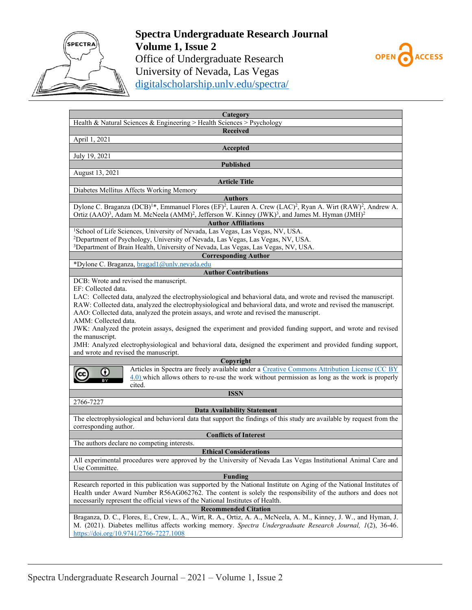

## **Spectra Undergraduate Research Journal Volume 1, Issue 2** Office of Undergraduate Research University of Nevada, Las Vegas [digitalscholarship.unlv.edu/spectra/](http://digitalscholarship.unlv.edu/spectra/)



| Category                                                                                                                                                     |
|--------------------------------------------------------------------------------------------------------------------------------------------------------------|
| Health & Natural Sciences & Engineering > Health Sciences > Psychology                                                                                       |
| <b>Received</b>                                                                                                                                              |
| April 1, 2021                                                                                                                                                |
| Accepted                                                                                                                                                     |
| July 19, 2021                                                                                                                                                |
| <b>Published</b>                                                                                                                                             |
| August 13, 2021                                                                                                                                              |
| <b>Article Title</b>                                                                                                                                         |
| Diabetes Mellitus Affects Working Memory                                                                                                                     |
| <b>Authors</b>                                                                                                                                               |
| Dylone C. Braganza (DCB) <sup>1*</sup> , Emmanuel Flores (EF) <sup>2</sup> , Lauren A. Crew (LAC) <sup>2</sup> , Ryan A. Wirt (RAW) <sup>2</sup> , Andrew A. |
| Ortiz (AAO) <sup>3</sup> , Adam M. McNeela (AMM) <sup>2</sup> , Jefferson W. Kinney (JWK) <sup>3</sup> , and James M. Hyman (JMH) <sup>2</sup>               |
| <b>Author Affiliations</b>                                                                                                                                   |
| <sup>1</sup> School of Life Sciences, University of Nevada, Las Vegas, Las Vegas, NV, USA.                                                                   |
| <sup>2</sup> Department of Psychology, University of Nevada, Las Vegas, Las Vegas, NV, USA.                                                                  |
| <sup>3</sup> Department of Brain Health, University of Nevada, Las Vegas, Las Vegas, NV, USA.                                                                |
| <b>Corresponding Author</b>                                                                                                                                  |
| *Dylone C. Braganza, bragad1@unlv.nevada.edu                                                                                                                 |
|                                                                                                                                                              |
| <b>Author Contributions</b>                                                                                                                                  |
| DCB: Wrote and revised the manuscript.                                                                                                                       |
| EF: Collected data.                                                                                                                                          |
| LAC: Collected data, analyzed the electrophysiological and behavioral data, and wrote and revised the manuscript.                                            |
| RAW: Collected data, analyzed the electrophysiological and behavioral data, and wrote and revised the manuscript.                                            |
| AAO: Collected data, analyzed the protein assays, and wrote and revised the manuscript.                                                                      |
| AMM: Collected data.                                                                                                                                         |
| JWK: Analyzed the protein assays, designed the experiment and provided funding support, and wrote and revised                                                |
| the manuscript.                                                                                                                                              |
| JMH: Analyzed electrophysiological and behavioral data, designed the experiment and provided funding support,                                                |
| and wrote and revised the manuscript.                                                                                                                        |
| Copyright                                                                                                                                                    |
| Articles in Spectra are freely available under a Creative Commons Attribution License (CC BY<br>Ο                                                            |
| $\frac{4.0}{2}$ which allows others to re-use the work without permission as long as the work is properly                                                    |
| cited.                                                                                                                                                       |
| <b>ISSN</b>                                                                                                                                                  |
| 2766-7227                                                                                                                                                    |
| <b>Data Availability Statement</b>                                                                                                                           |
| The electrophysiological and behavioral data that support the findings of this study are available by request from the                                       |
| corresponding author.                                                                                                                                        |
| <b>Conflicts of Interest</b>                                                                                                                                 |
| The authors declare no competing interests.                                                                                                                  |
| <b>Ethical Considerations</b>                                                                                                                                |
| All experimental procedures were approved by the University of Nevada Las Vegas Institutional Animal Care and                                                |
| Use Committee.                                                                                                                                               |
| <b>Funding</b>                                                                                                                                               |
| Research reported in this publication was supported by the National Institute on Aging of the National Institutes of                                         |
| Health under Award Number R56AG062762. The content is solely the responsibility of the authors and does not                                                  |
| necessarily represent the official views of the National Institutes of Health.                                                                               |
| <b>Recommended Citation</b>                                                                                                                                  |
| Braganza, D. C., Flores, E., Crew, L. A., Wirt, R. A., Ortiz, A. A., McNeela, A. M., Kinney, J. W., and Hyman, J.                                            |
| M. (2021). Diabetes mellitus affects working memory. Spectra Undergraduate Research Journal, 1(2), 36-46.                                                    |
| https://doi.org/10.9741/2766-7227.1008                                                                                                                       |
|                                                                                                                                                              |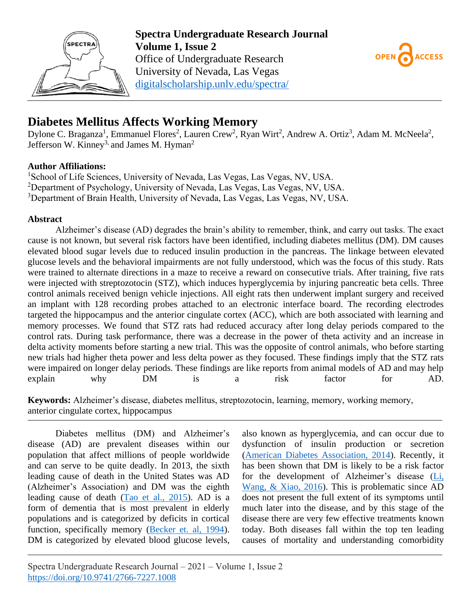



# **Diabetes Mellitus Affects Working Memory**

Dylone C. Braganza<sup>1</sup>, Emmanuel Flores<sup>2</sup>, Lauren Crew<sup>2</sup>, Ryan Wirt<sup>2</sup>, Andrew A. Ortiz<sup>3</sup>, Adam M. McNeela<sup>2</sup>, Jefferson W. Kinney<sup>3,</sup> and James M. Hyman<sup>2</sup>

## **Author Affiliations:**

<sup>1</sup>School of Life Sciences, University of Nevada, Las Vegas, Las Vegas, NV, USA. <sup>2</sup>Department of Psychology, University of Nevada, Las Vegas, Las Vegas, NV, USA. <sup>3</sup>Department of Brain Health, University of Nevada, Las Vegas, Las Vegas, NV, USA.

## **Abstract**

Alzheimer's disease (AD) degrades the brain's ability to remember, think, and carry out tasks. The exact cause is not known, but several risk factors have been identified, including diabetes mellitus (DM). DM causes elevated blood sugar levels due to reduced insulin production in the pancreas. The linkage between elevated glucose levels and the behavioral impairments are not fully understood, which was the focus of this study. Rats were trained to alternate directions in a maze to receive a reward on consecutive trials. After training, five rats were injected with streptozotocin (STZ), which induces hyperglycemia by injuring pancreatic beta cells. Three control animals received benign vehicle injections. All eight rats then underwent implant surgery and received an implant with 128 recording probes attached to an electronic interface board. The recording electrodes targeted the hippocampus and the anterior cingulate cortex (ACC), which are both associated with learning and memory processes. We found that STZ rats had reduced accuracy after long delay periods compared to the control rats. During task performance, there was a decrease in the power of theta activity and an increase in delta activity moments before starting a new trial. This was the opposite of control animals, who before starting new trials had higher theta power and less delta power as they focused. These findings imply that the STZ rats were impaired on longer delay periods. These findings are like reports from animal models of AD and may help explain why DM is a risk factor for AD.

**Keywords:** Alzheimer's disease, diabetes mellitus, streptozotocin, learning, memory, working memory, anterior cingulate cortex, hippocampus

Diabetes mellitus (DM) and Alzheimer's disease (AD) are prevalent diseases within our population that affect millions of people worldwide and can serve to be quite deadly. In 2013, the sixth leading cause of death in the United States was AD (Alzheimer's Association) and DM was the eighth leading cause of death [\(Tao et al., 2015\)](#page-4-0). AD is a form of dementia that is most prevalent in elderly populations and is categorized by deficits in cortical function, specifically memory [\(Becker et. al, 1994\)](#page-4-1). DM is categorized by elevated blood glucose levels,

also known as hyperglycemia, and can occur due to dysfunction of insulin production or secretion [\(American Diabetes Association, 2014\)](#page-4-2). Recently, it has been shown that DM is likely to be a risk factor for the development of Alzheimer's disease [\(Li,](#page-4-3)  [Wang, & Xiao, 2016\)](#page-4-3). This is problematic since AD does not present the full extent of its symptoms until much later into the disease, and by this stage of the disease there are very few effective treatments known today. Both diseases fall within the top ten leading causes of mortality and understanding comorbidity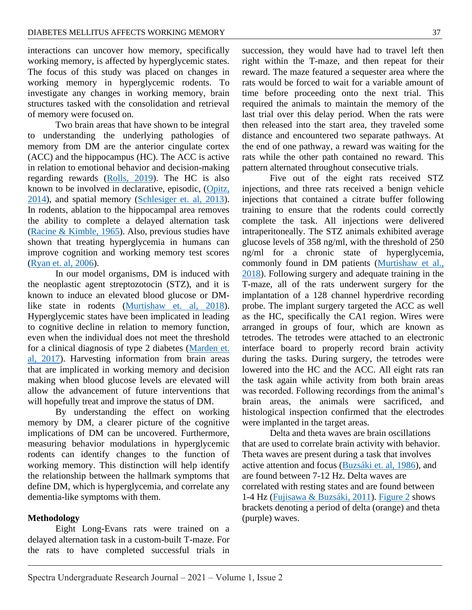interactions can uncover how memory, specifically working memory, is affected by hyperglycemic states. The focus of this study was placed on changes in working memory in hyperglycemic rodents. To investigate any changes in working memory, brain structures tasked with the consolidation and retrieval of memory were focused on.

Two brain areas that have shown to be integral to understanding the underlying pathologies of memory from DM are the anterior cingulate cortex (ACC) and the hippocampus (HC). The ACC is active in relation to emotional behavior and decision-making regarding rewards [\(Rolls, 2019\)](#page-4-4). The HC is also known to be involved in declarative, episodic, [\(Opitz,](#page-4-5)  [2014\)](#page-4-5), and spatial memory [\(Schlesiger et. al, 2013\)](#page-4-6). In rodents, ablation to the hippocampal area removes the ability to complete a delayed alternation task [\(Racine & Kimble, 1965\)](#page-4-7). Also, previous studies have shown that treating hyperglycemia in humans can improve cognition and working memory test scores [\(Ryan et. al, 2006\)](#page-4-8).

In our model organisms, DM is induced with the neoplastic agent streptozotocin (STZ), and it is known to induce an elevated blood glucose or DMlike state in rodents [\(Murtishaw et. al, 2018\)](#page-4-9). Hyperglycemic states have been implicated in leading to cognitive decline in relation to memory function, even when the individual does not meet the threshold for a clinical diagnosis of type 2 diabetes [\(Marden et.](#page-4-10)  [al, 2017\)](#page-4-10). Harvesting information from brain areas that are implicated in working memory and decision making when blood glucose levels are elevated will allow the advancement of future interventions that will hopefully treat and improve the status of DM.

By understanding the effect on working memory by DM, a clearer picture of the cognitive implications of DM can be uncovered. Furthermore, measuring behavior modulations in hyperglycemic rodents can identify changes to the function of working memory. This distinction will help identify the relationship between the hallmark symptoms that define DM, which is hyperglycemia, and correlate any dementia-like symptoms with them.

#### **Methodology**

Eight Long-Evans rats were trained on a delayed alternation task in a custom-built T-maze. For the rats to have completed successful trials in succession, they would have had to travel left then right within the T-maze, and then repeat for their reward. The maze featured a sequester area where the rats would be forced to wait for a variable amount of time before proceeding onto the next trial. This required the animals to maintain the memory of the last trial over this delay period. When the rats were then released into the start area, they traveled some distance and encountered two separate pathways. At the end of one pathway, a reward was waiting for the rats while the other path contained no reward. This pattern alternated throughout consecutive trials.

Five out of the eight rats received STZ injections, and three rats received a benign vehicle injections that contained a citrate buffer following training to ensure that the rodents could correctly complete the task. All injections were delivered intraperitoneally. The STZ animals exhibited average glucose levels of 358 ng/ml, with the threshold of 250 ng/ml for a chronic state of hyperglycemia, commonly found in DM patients [\(Murtishaw et al.,](#page-4-9)  [2018\)](#page-4-9). Following surgery and adequate training in the T-maze, all of the rats underwent surgery for the implantation of a 128 channel hyperdrive recording probe. The implant surgery targeted the ACC as well as the HC, specifically the CA1 region. Wires were arranged in groups of four, which are known as tetrodes. The tetrodes were attached to an electronic interface board to properly record brain activity during the tasks. During surgery, the tetrodes were lowered into the HC and the ACC. All eight rats ran the task again while activity from both brain areas was recorded. Following recordings from the animal's brain areas, the animals were sacrificed, and histological inspection confirmed that the electrodes were implanted in the target areas.

Delta and theta waves are brain oscillations that are used to correlate brain activity with behavior. Theta waves are present during a task that involves active attention and focus [\(Buzsáki et. al, 1986\)](#page-4-1), and are found between 7-12 Hz. Delta waves are correlated with resting states and are found between 1-4 Hz [\(Fujisawa & Buzsáki, 2011\)](#page-4-11). [Figure 2](#page-7-0) shows brackets denoting a period of delta (orange) and theta (purple) waves.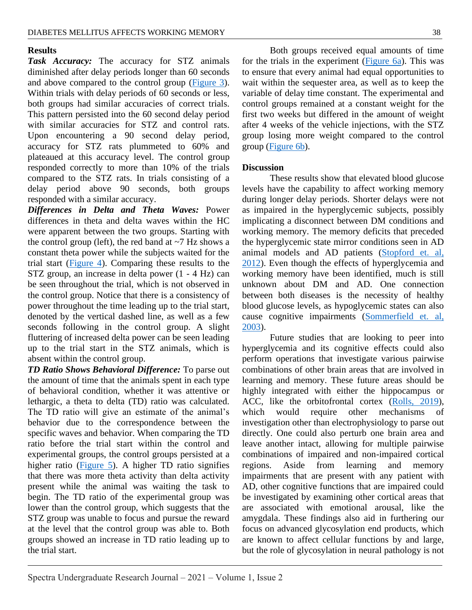## **Results**

*Task Accuracy:* The accuracy for STZ animals diminished after delay periods longer than 60 seconds and above compared to the control group [\(Figure 3\)](#page-8-0). Within trials with delay periods of 60 seconds or less, both groups had similar accuracies of correct trials. This pattern persisted into the 60 second delay period with similar accuracies for STZ and control rats. Upon encountering a 90 second delay period, accuracy for STZ rats plummeted to 60% and plateaued at this accuracy level. The control group responded correctly to more than 10% of the trials compared to the STZ rats. In trials consisting of a delay period above 90 seconds, both groups responded with a similar accuracy.

*Differences in Delta and Theta Waves:* Power differences in theta and delta waves within the HC were apparent between the two groups. Starting with the control group (left), the red band at  $\sim$ 7 Hz shows a constant theta power while the subjects waited for the trial start [\(Figure 4\)](#page-9-0). Comparing these results to the STZ group, an increase in delta power (1 - 4 Hz) can be seen throughout the trial, which is not observed in the control group. Notice that there is a consistency of power throughout the time leading up to the trial start, denoted by the vertical dashed line, as well as a few seconds following in the control group. A slight fluttering of increased delta power can be seen leading up to the trial start in the STZ animals, which is absent within the control group.

*TD Ratio Shows Behavioral Difference:* To parse out the amount of time that the animals spent in each type of behavioral condition, whether it was attentive or lethargic, a theta to delta (TD) ratio was calculated. The TD ratio will give an estimate of the animal's behavior due to the correspondence between the specific waves and behavior. When comparing the TD ratio before the trial start within the control and experimental groups, the control groups persisted at a higher ratio [\(Figure 5\)](#page-11-0). A higher TD ratio signifies that there was more theta activity than delta activity present while the animal was waiting the task to begin. The TD ratio of the experimental group was lower than the control group, which suggests that the STZ group was unable to focus and pursue the reward at the level that the control group was able to. Both groups showed an increase in TD ratio leading up to the trial start.

Both groups received equal amounts of time for the trials in the experiment [\(Figure 6a\)](#page-11-0). This was to ensure that every animal had equal opportunities to wait within the sequester area, as well as to keep the variable of delay time constant. The experimental and control groups remained at a constant weight for the first two weeks but differed in the amount of weight after 4 weeks of the vehicle injections, with the STZ group losing more weight compared to the control group [\(Figure 6b\)](#page-11-0).

#### **Discussion**

These results show that elevated blood glucose levels have the capability to affect working memory during longer delay periods. Shorter delays were not as impaired in the hyperglycemic subjects, possibly implicating a disconnect between DM conditions and working memory. The memory deficits that preceded the hyperglycemic state mirror conditions seen in AD animal models and AD patients [\(Stopford et. al,](#page-4-12)  [2012\)](#page-4-12). Even though the effects of hyperglycemia and working memory have been identified, much is still unknown about DM and AD. One connection between both diseases is the necessity of healthy blood glucose levels, as hypoglycemic states can also cause cognitive impairments [\(Sommerfield et. al,](#page-4-13)  [2003\)](#page-4-13).

Future studies that are looking to peer into hyperglycemia and its cognitive effects could also perform operations that investigate various pairwise combinations of other brain areas that are involved in learning and memory. These future areas should be highly integrated with either the hippocampus or ACC, like the orbitofrontal cortex [\(Rolls, 2019\)](#page-4-4), which would require other mechanisms of investigation other than electrophysiology to parse out directly. One could also perturb one brain area and leave another intact, allowing for multiple pairwise combinations of impaired and non-impaired cortical regions. Aside from learning and memory impairments that are present with any patient with AD, other cognitive functions that are impaired could be investigated by examining other cortical areas that are associated with emotional arousal, like the amygdala. These findings also aid in furthering our focus on advanced glycosylation end products, which are known to affect cellular functions by and large, but the role of glycosylation in neural pathology is not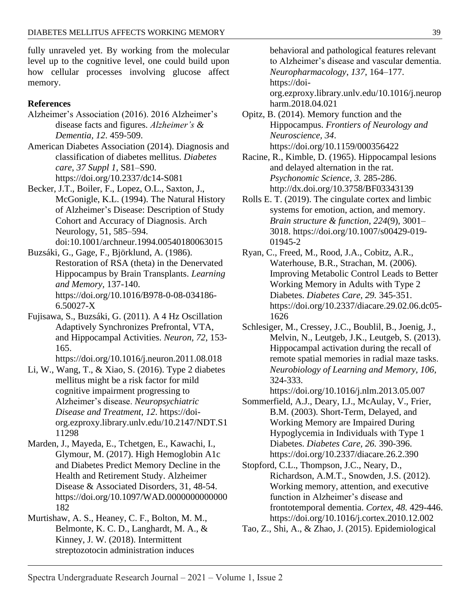fully unraveled yet. By working from the molecular level up to the cognitive level, one could build upon how cellular processes involving glucose affect memory.

## **References**

- Alzheimer's Association (2016). 2016 Alzheimer's disease facts and figures. *Alzheimer's & Dementia, 12*. 459-509.
- <span id="page-4-2"></span>American Diabetes Association (2014). Diagnosis and classification of diabetes mellitus. *Diabetes care*, *37 Suppl 1*, S81–S90. <https://doi.org/10.2337/dc14-S081>
- <span id="page-4-1"></span>Becker, J.T., Boiler, F., Lopez, O.L., Saxton, J., McGonigle, K.L. (1994). The Natural History of Alzheimer's Disease: Description of Study Cohort and Accuracy of Diagnosis. Arch Neurology, 51, 585–594. doi:10.1001/archneur.1994.00540180063015
- Buzsáki, G., Gage, F., Björklund, A. (1986). Restoration of RSA (theta) in the Denervated Hippocampus by Brain Transplants. *Learning and Memory,* 137-140. https://doi.org/10.1016/B978-0-08-034186- 6.50027-X
- <span id="page-4-11"></span>Fujisawa, S., Buzsáki, G. (2011). A 4 Hz Oscillation Adaptively Synchronizes Prefrontal, VTA, and Hippocampal Activities. *Neuron, 72,* 153- 165. <https://doi.org/10.1016/j.neuron.2011.08.018>
- <span id="page-4-3"></span>Li, W., Wang, T., & Xiao, S. (2016). Type 2 diabetes mellitus might be a risk factor for mild cognitive impairment progressing to Alzheimer's disease. *Neuropsychiatric Disease and Treatment*, *12*. [https://doi](https://doi-org.ezproxy.library.unlv.edu/10.2147/NDT.S111298)[org.ezproxy.library.unlv.edu/10.2147/NDT.S1](https://doi-org.ezproxy.library.unlv.edu/10.2147/NDT.S111298) [11298](https://doi-org.ezproxy.library.unlv.edu/10.2147/NDT.S111298)
- <span id="page-4-10"></span>Marden, J., Mayeda, E., Tchetgen, E., Kawachi, I., Glymour, M. (2017). High Hemoglobin A1c and Diabetes Predict Memory Decline in the Health and Retirement Study. Alzheimer Disease & Associated Disorders, 31, 48-54. https://doi.org/10.1097/WAD.0000000000000 182
- <span id="page-4-9"></span>Murtishaw, A. S., Heaney, C. F., Bolton, M. M., Belmonte, K. C. D., Langhardt, M. A., & Kinney, J. W. (2018). Intermittent streptozotocin administration induces

behavioral and pathological features relevant to Alzheimer's disease and vascular dementia. *Neuropharmacology*, *137*, 164–177. [https://doi](https://doi-org.ezproxy.library.unlv.edu/10.1016/j.neuropharm.2018.04.021)[org.ezproxy.library.unlv.edu/10.1016/j.neurop](https://doi-org.ezproxy.library.unlv.edu/10.1016/j.neuropharm.2018.04.021)

[harm.2018.04.021](https://doi-org.ezproxy.library.unlv.edu/10.1016/j.neuropharm.2018.04.021)

<span id="page-4-5"></span>Opitz, B. (2014). Memory function and the Hippocampus. *Frontiers of Neurology and Neuroscience, 34*. <https://doi.org/10.1159/000356422>

- <span id="page-4-7"></span>Racine, R., Kimble, D. (1965). Hippocampal lesions and delayed alternation in the rat. *Psychonomic Science, 3.* 285-286. http://dx.doi.org/10.3758/BF03343139
- <span id="page-4-4"></span>Rolls E. T. (2019). The cingulate cortex and limbic systems for emotion, action, and memory. *Brain structure & function*, *224*(9), 3001– 3018. [https://doi.org/10.1007/s00429-019-](https://doi.org/10.1007/s00429-019-01945-2) [01945-2](https://doi.org/10.1007/s00429-019-01945-2)
- <span id="page-4-8"></span>Ryan, C., Freed, M., Rood, J.A., Cobitz, A.R., Waterhouse, B.R., Strachan, M. (2006). Improving Metabolic Control Leads to Better Working Memory in Adults with Type 2 Diabetes. *Diabetes Care, 29.* 345-351. https://doi.org/10.2337/diacare.29.02.06.dc05- 1626
- <span id="page-4-6"></span>Schlesiger, M., Cressey, J.C., Boublil, B., Joenig, J., Melvin, N., Leutgeb, J.K., Leutgeb, S. (2013). Hippocampal activation during the recall of remote spatial memories in radial maze tasks. *Neurobiology of Learning and Memory, 106,*  324-333.

<https://doi.org/10.1016/j.nlm.2013.05.007>

- <span id="page-4-13"></span>Sommerfield, A.J., Deary, I.J., McAulay, V., Frier, B.M. (2003). Short-Term, Delayed, and Working Memory are Impaired During Hypoglycemia in Individuals with Type 1 Diabetes. *Diabetes Care, 26.* 390-396. https://doi.org/10.2337/diacare.26.2.390
- <span id="page-4-12"></span>Stopford, C.L., Thompson, J.C., Neary, D., Richardson, A.M.T., Snowden, J.S. (2012). Working memory, attention, and executive function in Alzheimer's disease and frontotemporal dementia. *Cortex, 48.* 429-446. https://doi.org/10.1016/j.cortex.2010.12.002
- <span id="page-4-0"></span>Tao, Z., Shi, A., & Zhao, J. (2015). Epidemiological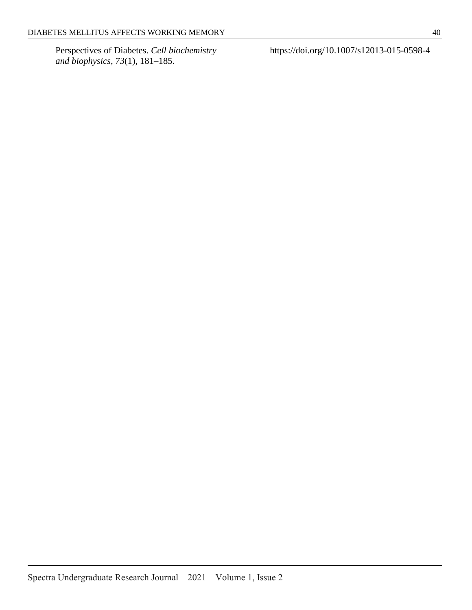Perspectives of Diabetes. *Cell biochemistry and biophysics*, *73*(1), 181–185.

<https://doi.org/10.1007/s12013-015-0598-4>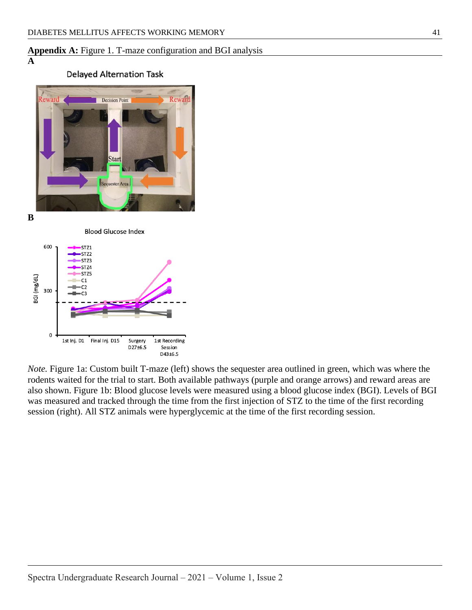## **Appendix A:** Figure 1. T-maze configuration and BGI analysis

#### **A**

## **Delayed Alternation Task**



**B**





*Note.* Figure 1a: Custom built T-maze (left) shows the sequester area outlined in green, which was where the rodents waited for the trial to start. Both available pathways (purple and orange arrows) and reward areas are also shown. Figure 1b: Blood glucose levels were measured using a blood glucose index (BGI). Levels of BGI was measured and tracked through the time from the first injection of STZ to the time of the first recording session (right). All STZ animals were hyperglycemic at the time of the first recording session.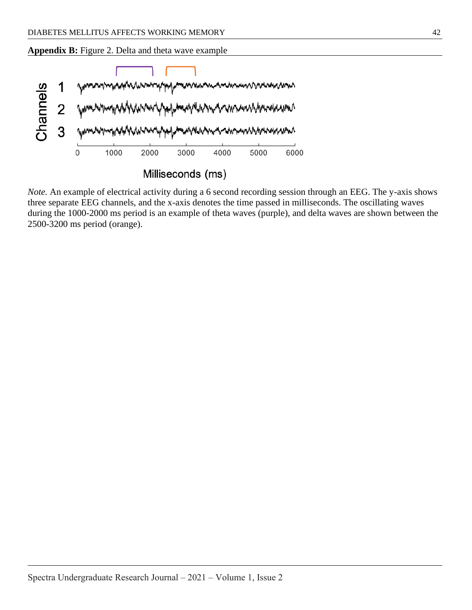<span id="page-7-0"></span>**Appendix B:** Figure 2. Delta and theta wave example



*Note.* An example of electrical activity during a 6 second recording session through an EEG. The y-axis shows three separate EEG channels, and the x-axis denotes the time passed in milliseconds. The oscillating waves during the 1000-2000 ms period is an example of theta waves (purple), and delta waves are shown between the 2500-3200 ms period (orange).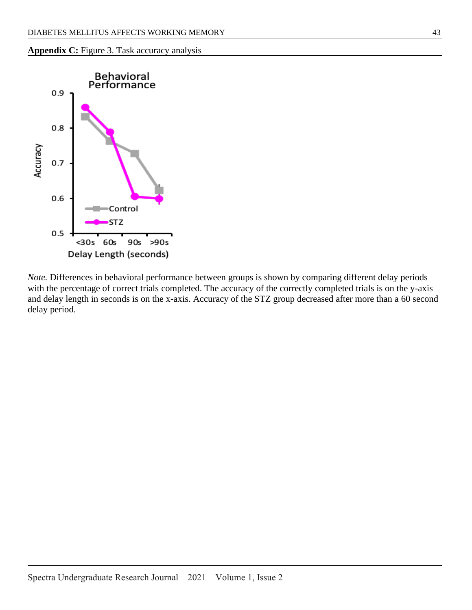

<span id="page-8-0"></span>

*Note.* Differences in behavioral performance between groups is shown by comparing different delay periods with the percentage of correct trials completed. The accuracy of the correctly completed trials is on the y-axis and delay length in seconds is on the x-axis. Accuracy of the STZ group decreased after more than a 60 second delay period.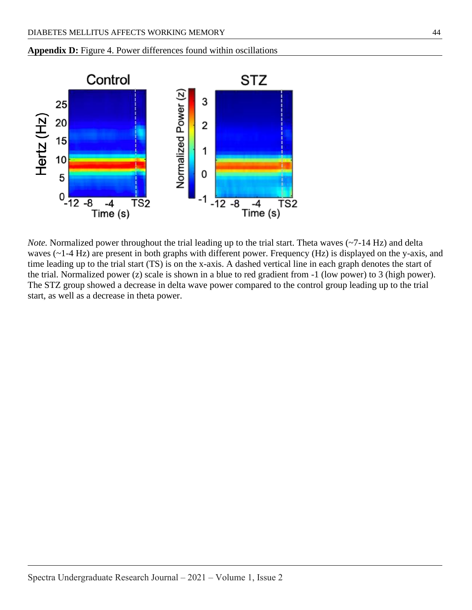<span id="page-9-0"></span>



*Note.* Normalized power throughout the trial leading up to the trial start. Theta waves (~7-14 Hz) and delta waves (~1-4 Hz) are present in both graphs with different power. Frequency (Hz) is displayed on the y-axis, and time leading up to the trial start (TS) is on the x-axis. A dashed vertical line in each graph denotes the start of the trial. Normalized power (z) scale is shown in a blue to red gradient from -1 (low power) to 3 (high power). The STZ group showed a decrease in delta wave power compared to the control group leading up to the trial start, as well as a decrease in theta power.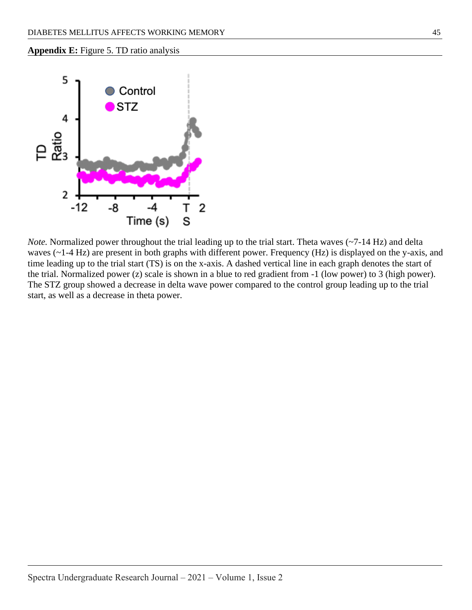**Appendix E:** Figure 5. TD ratio analysis



*Note.* Normalized power throughout the trial leading up to the trial start. Theta waves (~7-14 Hz) and delta waves (~1-4 Hz) are present in both graphs with different power. Frequency (Hz) is displayed on the y-axis, and time leading up to the trial start (TS) is on the x-axis. A dashed vertical line in each graph denotes the start of the trial. Normalized power (z) scale is shown in a blue to red gradient from -1 (low power) to 3 (high power). The STZ group showed a decrease in delta wave power compared to the control group leading up to the trial start, as well as a decrease in theta power.